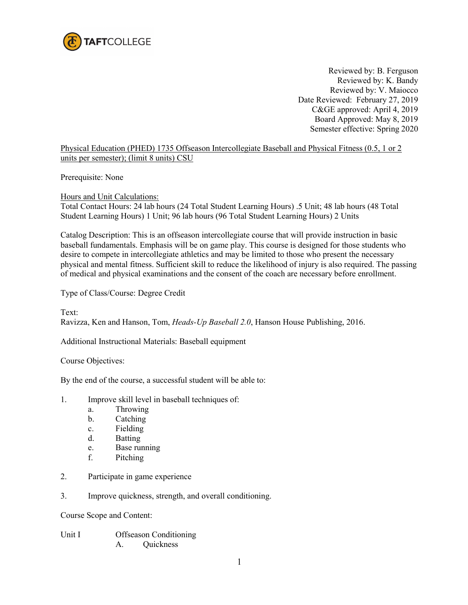

Reviewed by: B. Ferguson Reviewed by: K. Bandy Reviewed by: V. Maiocco Date Reviewed: February 27, 2019 C&GE approved: April 4, 2019 Board Approved: May 8, 2019 Semester effective: Spring 2020

## Physical Education (PHED) 1735 Offseason Intercollegiate Baseball and Physical Fitness (0.5, 1 or 2 units per semester); (limit 8 units) CSU

Prerequisite: None

Hours and Unit Calculations:

Total Contact Hours: 24 lab hours (24 Total Student Learning Hours) .5 Unit; 48 lab hours (48 Total Student Learning Hours) 1 Unit; 96 lab hours (96 Total Student Learning Hours) 2 Units

Catalog Description: This is an offseason intercollegiate course that will provide instruction in basic baseball fundamentals. Emphasis will be on game play. This course is designed for those students who desire to compete in intercollegiate athletics and may be limited to those who present the necessary physical and mental fitness. Sufficient skill to reduce the likelihood of injury is also required. The passing of medical and physical examinations and the consent of the coach are necessary before enrollment.

Type of Class/Course: Degree Credit

Text: Ravizza, Ken and Hanson, Tom, *Heads-Up Baseball 2.0*, Hanson House Publishing, 2016.

Additional Instructional Materials: Baseball equipment

Course Objectives:

By the end of the course, a successful student will be able to:

- 1. Improve skill level in baseball techniques of:
	- a. Throwing
	- b. Catching
	- c. Fielding
	- d. Batting
	- e. Base running
	- f. Pitching
- 2. Participate in game experience
- 3. Improve quickness, strength, and overall conditioning.

Course Scope and Content:

Unit I Offseason Conditioning A. Quickness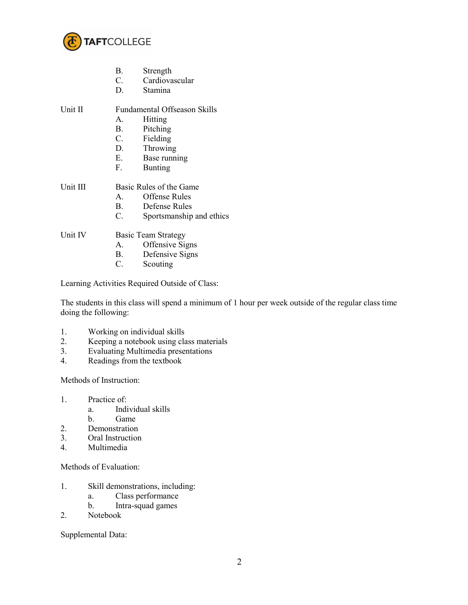

|          | В.                                  | Strength                 |  |
|----------|-------------------------------------|--------------------------|--|
|          | $C_{\cdot}$                         | Cardiovascular           |  |
|          | D.                                  | Stamina                  |  |
| Unit II  | <b>Fundamental Offseason Skills</b> |                          |  |
|          | $A_{-}$                             | Hitting                  |  |
|          | <b>B.</b>                           | Pitching                 |  |
|          | C.                                  | Fielding                 |  |
|          | D.                                  | Throwing                 |  |
|          | Е.                                  | Base running             |  |
|          | F.                                  | <b>Bunting</b>           |  |
| Unit III | Basic Rules of the Game             |                          |  |
|          | $A_{\cdot}$                         | Offense Rules            |  |
|          | <b>B.</b>                           | Defense Rules            |  |
|          | C.                                  | Sportsmanship and ethics |  |

Unit IV Basic Team Strategy

- A. Offensive Signs
- B. Defensive Signs
- C. Scouting

Learning Activities Required Outside of Class:

The students in this class will spend a minimum of 1 hour per week outside of the regular class time doing the following:

- 1. Working on individual skills<br>2. Keeping a notebook using cla
- Keeping a notebook using class materials
- 3. Evaluating Multimedia presentations
- 4. Readings from the textbook

Methods of Instruction:

- 1. Practice of:
	- a. Individual skills
	- b. Game
- 2. Demonstration<br>3. Oral Instruction
- 3. Oral Instruction<br>4. Multimedia
- Multimedia

Methods of Evaluation:

- 1. Skill demonstrations, including:
	- a. Class performance
	- b. Intra-squad games
- 2. Notebook

Supplemental Data: